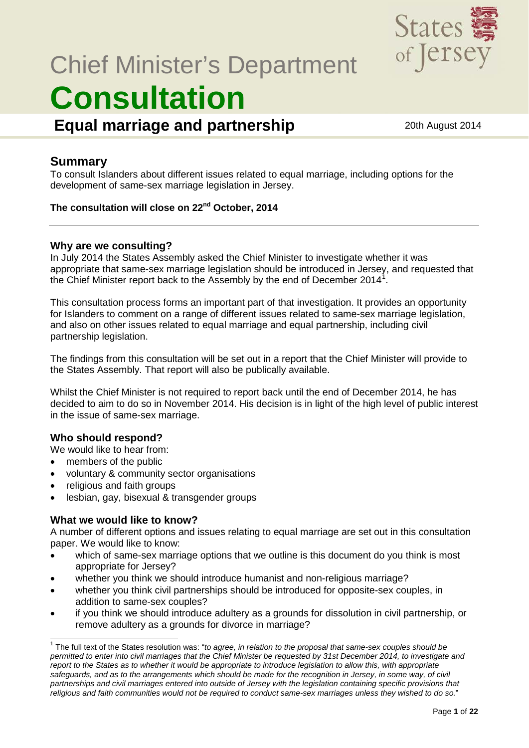

# Chief Minister's Department **Consultation**

**Equal marriage and partnership** 20th August 2014

### **Summary**

To consult Islanders about different issues related to equal marriage, including options for the development of same-sex marriage legislation in Jersey.

#### **The consultation will close on 22nd October, 2014**

#### **Why are we consulting?**

In July 2014 the States Assembly asked the Chief Minister to investigate whether it was appropriate that same-sex marriage legislation should be introduced in Jersey, and requested that the Chief Minister report back to the Assembly by the end of December 20[1](#page-0-0)4<sup>1</sup>.

This consultation process forms an important part of that investigation. It provides an opportunity for Islanders to comment on a range of different issues related to same-sex marriage legislation, and also on other issues related to equal marriage and equal partnership, including civil partnership legislation.

The findings from this consultation will be set out in a report that the Chief Minister will provide to the States Assembly. That report will also be publically available.

Whilst the Chief Minister is not required to report back until the end of December 2014, he has decided to aim to do so in November 2014. His decision is in light of the high level of public interest in the issue of same-sex marriage.

#### **Who should respond?**

We would like to hear from:

- members of the public
- voluntary & community sector organisations
- religious and faith groups
- lesbian, gay, bisexual & transgender groups

#### **What we would like to know?**

A number of different options and issues relating to equal marriage are set out in this consultation paper. We would like to know:

- which of same-sex marriage options that we outline is this document do you think is most appropriate for Jersey?
- whether you think we should introduce humanist and non-religious marriage?
- whether you think civil partnerships should be introduced for opposite-sex couples, in addition to same-sex couples?
- if you think we should introduce adultery as a grounds for dissolution in civil partnership, or remove adultery as a grounds for divorce in marriage?

<span id="page-0-1"></span><span id="page-0-0"></span> <sup>1</sup> The full text of the States resolution was: "*to agree, in relation to the proposal that same-sex couples should be permitted to enter into civil marriages that the Chief Minister be requested by 31st December 2014, to investigate and report to the States as to whether it would be appropriate to introduce legislation to allow this, with appropriate*  safeguards, and as to the arrangements which should be made for the recognition in Jersey, in some way, of civil *partnerships and civil marriages entered into outside of Jersey with the legislation containing specific provisions that religious and faith communities would not be required to conduct same-sex marriages unless they wished to do so.*"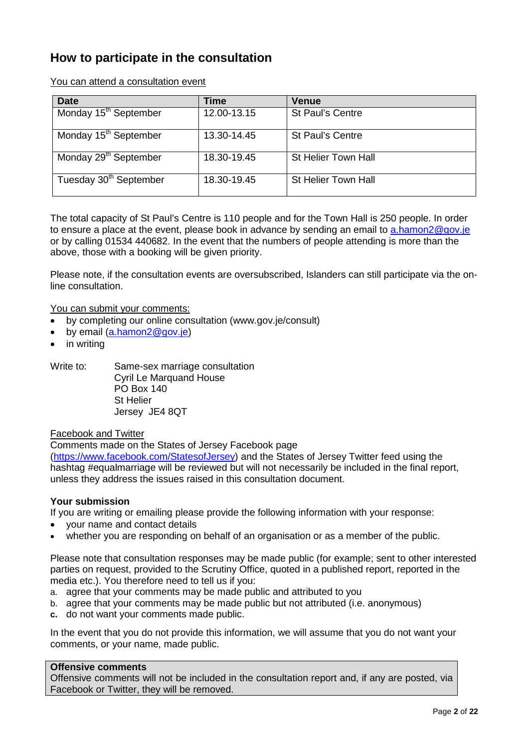## **How to participate in the consultation**

You can attend a consultation event

| <b>Date</b>                        | Time        | <b>Venue</b>            |
|------------------------------------|-------------|-------------------------|
| Monday 15 <sup>th</sup> September  | 12.00-13.15 | <b>St Paul's Centre</b> |
| Monday 15 <sup>th</sup> September  | 13.30-14.45 | <b>St Paul's Centre</b> |
| Monday 29 <sup>th</sup> September  | 18.30-19.45 | St Helier Town Hall     |
| Tuesday 30 <sup>th</sup> September | 18.30-19.45 | St Helier Town Hall     |

The total capacity of St Paul's Centre is 110 people and for the Town Hall is 250 people. In order to ensure a place at the event, please book in advance by sending an email to [a.hamon2@gov.je](mailto:l.ferreira@gov.je) or by calling 01534 440682. In the event that the numbers of people attending is more than the above, those with a booking will be given priority.

Please note, if the consultation events are oversubscribed, Islanders can still participate via the online consultation.

You can submit your comments:

- by completing our online consultation (www.gov.je/consult)
- by email [\(a.hamon2@gov.je\)](mailto:l.ferreira@gov.je)
- in writing

Write to: Same-sex marriage consultation Cyril Le Marquand House PO Box 140 St Helier Jersey JE4 8QT

Facebook and Twitter

Comments made on the States of Jersey Facebook page [\(https://www.facebook.com/StatesofJersey\)](https://www.facebook.com/StatesofJersey) and the States of Jersey Twitter feed using the hashtag #equalmarriage will be reviewed but will not necessarily be included in the final report, unless they address the issues raised in this consultation document.

#### **Your submission**

If you are writing or emailing please provide the following information with your response:

- your name and contact details
- whether you are responding on behalf of an organisation or as a member of the public.

Please note that consultation responses may be made public (for example; sent to other interested parties on request, provided to the Scrutiny Office, quoted in a published report, reported in the media etc.). You therefore need to tell us if you:

- a. agree that your comments may be made public and attributed to you
- b. agree that your comments may be made public but not attributed (i.e. anonymous)
- **c.** do not want your comments made public.

In the event that you do not provide this information, we will assume that you do not want your comments, or your name, made public.

#### **Offensive comments**

Offensive comments will not be included in the consultation report and, if any are posted, via Facebook or Twitter, they will be removed.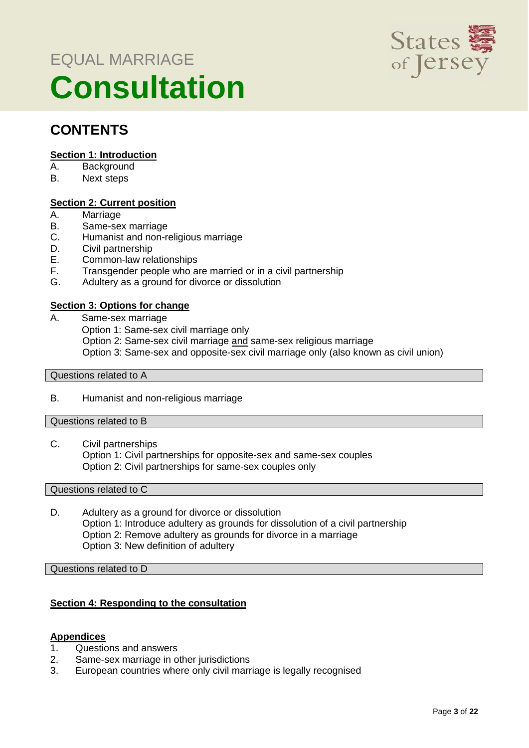# EQUAL MARRIAGE **Consultation**



## **CONTENTS**

#### **Section 1: Introduction**

- A. Background
- B. Next steps

#### **Section 2: Current position**

- A. Marriage
- B. Same-sex marriage
- C. Humanist and non-religious marriage<br>D. Civil partnership
- D. Civil partnership<br>E. Common-law rel
- E. Common-law relationships<br>F. Transgender people who a
- Transgender people who are married or in a civil partnership
- G. Adultery as a ground for divorce or dissolution

#### **Section 3: Options for change**

A. Same-sex marriage Option 1: Same-sex civil marriage only Option 2: Same-sex civil marriage and same-sex religious marriage Option 3: Same-sex and opposite-sex civil marriage only (also known as civil union)

#### Questions related to A

B. Humanist and non-religious marriage

#### Questions related to B

C. Civil partnerships Option 1: Civil partnerships for opposite-sex and same-sex couples Option 2: Civil partnerships for same-sex couples only

#### Questions related to C

D. Adultery as a ground for divorce or dissolution Option 1: Introduce adultery as grounds for dissolution of a civil partnership Option 2: Remove adultery as grounds for divorce in a marriage Option 3: New definition of adultery

Questions related to D

#### **Section 4: Responding to the consultation**

#### **Appendices**

- 1. Questions and answers
- 2. Same-sex marriage in other jurisdictions
- 3. European countries where only civil marriage is legally recognised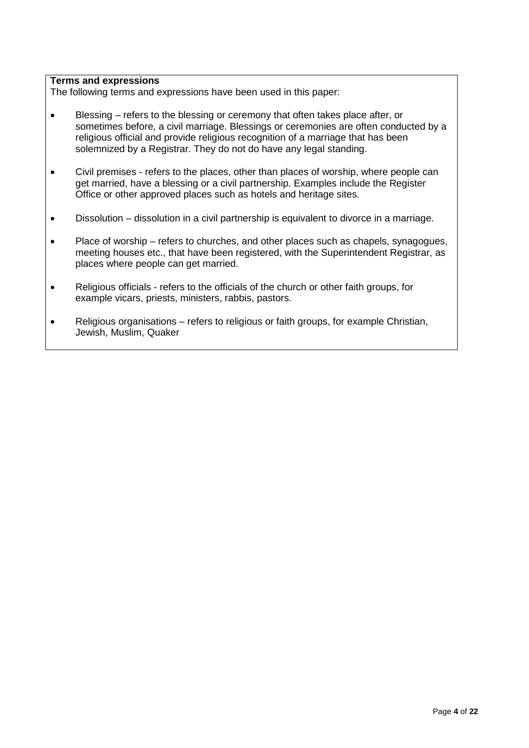#### **Terms and expressions**

The following terms and expressions have been used in this paper:

- Blessing refers to the blessing or ceremony that often takes place after, or sometimes before, a civil marriage. Blessings or ceremonies are often conducted by a religious official and provide religious recognition of a marriage that has been solemnized by a Registrar. They do not do have any legal standing.
- Civil premises refers to the places, other than places of worship, where people can get married, have a blessing or a civil partnership. Examples include the Register Office or other approved places such as hotels and heritage sites.
- Dissolution dissolution in a civil partnership is equivalent to divorce in a marriage.
- Place of worship refers to churches, and other places such as chapels, synagogues, meeting houses etc., that have been registered, with the Superintendent Registrar, as places where people can get married.
- Religious officials refers to the officials of the church or other faith groups, for example vicars, priests, ministers, rabbis, pastors.
- Religious organisations refers to religious or faith groups, for example Christian, Jewish, Muslim, Quaker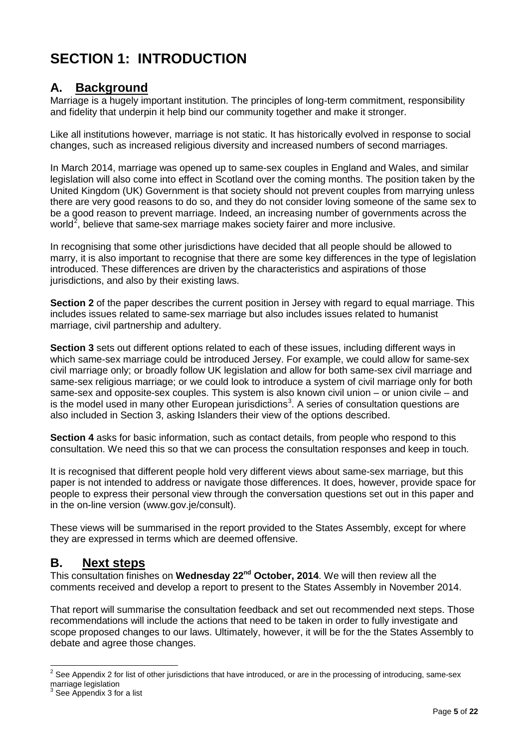# **SECTION 1: INTRODUCTION**

## **A. Background**

Marriage is a hugely important institution. The principles of long-term commitment, responsibility and fidelity that underpin it help bind our community together and make it stronger.

Like all institutions however, marriage is not static. It has historically evolved in response to social changes, such as increased religious diversity and increased numbers of second marriages.

In March 2014, marriage was opened up to same-sex couples in England and Wales, and similar legislation will also come into effect in Scotland over the coming months. The position taken by the United Kingdom (UK) Government is that society should not prevent couples from marrying unless there are very good reasons to do so, and they do not consider loving someone of the same sex to be a good reason to prevent marriage. Indeed, an increasing number of governments across the world<sup>[2](#page-0-1)</sup>, believe that same-sex marriage makes society fairer and more inclusive.

In recognising that some other jurisdictions have decided that all people should be allowed to marry, it is also important to recognise that there are some key differences in the type of legislation introduced. These differences are driven by the characteristics and aspirations of those jurisdictions, and also by their existing laws.

**Section 2** of the paper describes the current position in Jersey with regard to equal marriage. This includes issues related to same-sex marriage but also includes issues related to humanist marriage, civil partnership and adultery.

**Section 3** sets out different options related to each of these issues, including different ways in which same-sex marriage could be introduced Jersey. For example, we could allow for same-sex civil marriage only; or broadly follow UK legislation and allow for both same-sex civil marriage and same-sex religious marriage; or we could look to introduce a system of civil marriage only for both same-sex and opposite-sex couples. This system is also known civil union – or union civile – and is the model used in many other European jurisdictions<sup>[3](#page-4-0)</sup>. A series of consultation questions are also included in Section 3, asking Islanders their view of the options described.

**Section 4** asks for basic information, such as contact details, from people who respond to this consultation. We need this so that we can process the consultation responses and keep in touch.

It is recognised that different people hold very different views about same-sex marriage, but this paper is not intended to address or navigate those differences. It does, however, provide space for people to express their personal view through the conversation questions set out in this paper and in the on-line version (www.gov.je/consult).

These views will be summarised in the report provided to the States Assembly, except for where they are expressed in terms which are deemed offensive.

### **B. Next steps**

This consultation finishes on **Wednesday 22nd October, 2014**. We will then review all the comments received and develop a report to present to the States Assembly in November 2014.

<span id="page-4-1"></span>That report will summarise the consultation feedback and set out recommended next steps. Those recommendations will include the actions that need to be taken in order to fully investigate and scope proposed changes to our laws. Ultimately, however, it will be for the the States Assembly to debate and agree those changes.

 $2$  See Appendix 2 for list of other jurisdictions that have introduced, or are in the processing of introducing, same-sex marriage legislation

<span id="page-4-0"></span><sup>&</sup>lt;sup>3</sup> See Appendix 3 for a list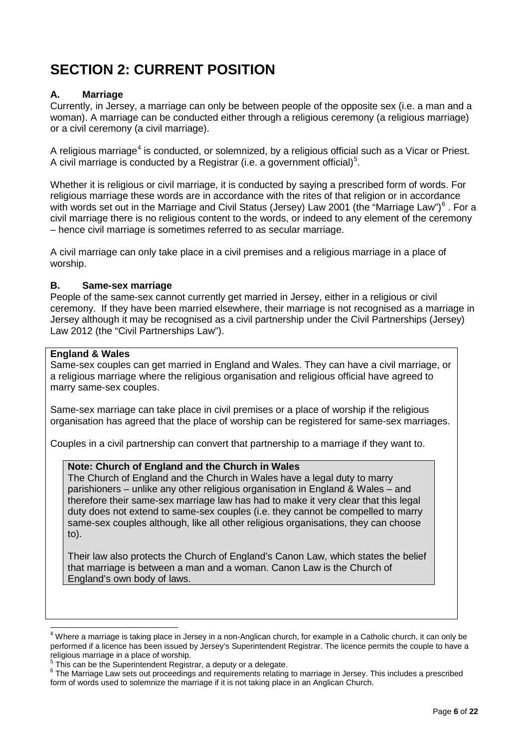# **SECTION 2: CURRENT POSITION**

#### **A. Marriage**

Currently, in Jersey, a marriage can only be between people of the opposite sex (i.e. a man and a woman). A marriage can be conducted either through a religious ceremony (a religious marriage) or a civil ceremony (a civil marriage).

A religious marriage<sup>[4](#page-4-1)</sup> is conducted, or solemnized, by a religious official such as a Vicar or Priest. A civil marriage is conducted by a Registrar (i.e. a government official)<sup>[5](#page-5-0)</sup>.

Whether it is religious or civil marriage, it is conducted by saying a prescribed form of words. For religious marriage these words are in accordance with the rites of that religion or in accordance with words set out in the Marriage and Civil Status (Jersey) Law 2001 (the "Marriage Law") $<sup>6</sup>$  $<sup>6</sup>$  $<sup>6</sup>$ . For a</sup> civil marriage there is no religious content to the words, or indeed to any element of the ceremony – hence civil marriage is sometimes referred to as secular marriage.

A civil marriage can only take place in a civil premises and a religious marriage in a place of worship.

#### **B. Same-sex marriage**

People of the same-sex cannot currently get married in Jersey, either in a religious or civil ceremony. If they have been married elsewhere, their marriage is not recognised as a marriage in Jersey although it may be recognised as a civil partnership under the Civil Partnerships (Jersey) Law 2012 (the "Civil Partnerships Law").

#### **England & Wales**

Same-sex couples can get married in England and Wales. They can have a civil marriage, or a religious marriage where the religious organisation and religious official have agreed to marry same-sex couples.

Same-sex marriage can take place in civil premises or a place of worship if the religious organisation has agreed that the place of worship can be registered for same-sex marriages.

Couples in a civil partnership can convert that partnership to a marriage if they want to.

#### **Note: Church of England and the Church in Wales**

The Church of England and the Church in Wales have a legal duty to marry parishioners – unlike any other religious organisation in England & Wales – and therefore their same-sex marriage law has had to make it very clear that this legal duty does not extend to same-sex couples (i.e. they cannot be compelled to marry same-sex couples although, like all other religious organisations, they can choose to).

Their law also protects the Church of England's Canon Law, which states the belief that marriage is between a man and a woman. Canon Law is the Church of England's own body of laws.

<sup>&</sup>lt;sup>4</sup> Where a marriage is taking place in Jersey in a non-Anglican church, for example in a Catholic church, it can only be performed if a licence has been issued by Jersey's Superintendent Registrar. The licence permits the couple to have a religious marriage in a place of worship.<br><sup>5</sup> This can be the Superintendent Registrar, a deputy or a delegate.

<span id="page-5-0"></span>

<span id="page-5-2"></span><span id="page-5-1"></span> $6$  The Marriage Law sets out proceedings and requirements relating to marriage in Jersey. This includes a prescribed form of words used to solemnize the marriage if it is not taking place in an Anglican Church.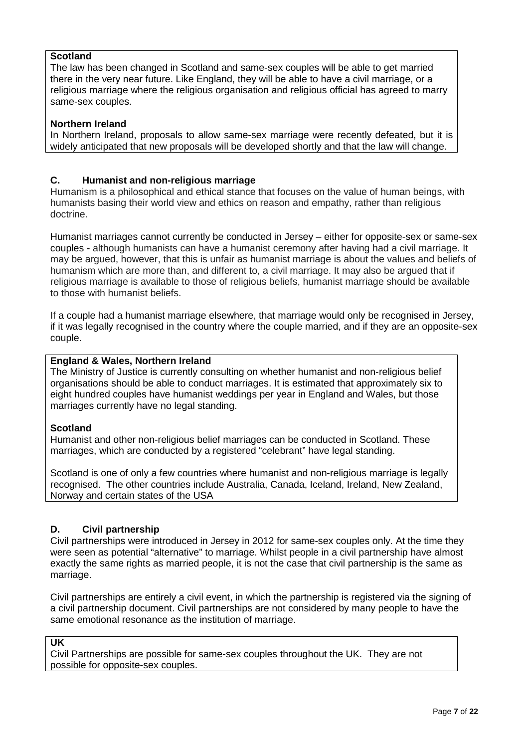#### **Scotland**

The law has been changed in Scotland and same-sex couples will be able to get married there in the very near future. Like England, they will be able to have a civil marriage, or a religious marriage where the religious organisation and religious official has agreed to marry same-sex couples.

#### **Northern Ireland**

In Northern Ireland, proposals to allow same-sex marriage were recently defeated, but it is widely anticipated that new proposals will be developed shortly and that the law will change.

#### **C. Humanist and non-religious marriage**

Humanism is a philosophical and ethical stance that focuses on the value of human beings, with humanists basing their world view and ethics on reason and empathy, rather than religious doctrine.

Humanist marriages cannot currently be conducted in Jersey – either for opposite-sex or same-sex couples - although humanists can have a humanist ceremony after having had a civil marriage. It may be argued, however, that this is unfair as humanist marriage is about the values and beliefs of humanism which are more than, and different to, a civil marriage. It may also be argued that if religious marriage is available to those of religious beliefs, humanist marriage should be available to those with humanist beliefs.

If a couple had a humanist marriage elsewhere, that marriage would only be recognised in Jersey, if it was legally recognised in the country where the couple married, and if they are an opposite-sex couple.

#### **England & Wales, Northern Ireland**

The Ministry of Justice is currently consulting on whether humanist and non-religious belief organisations should be able to conduct marriages. It is estimated that approximately six to eight hundred couples have humanist weddings per year in England and Wales, but those marriages currently have no legal standing.

#### **Scotland**

Humanist and other non-religious belief marriages can be conducted in Scotland. These marriages, which are conducted by a registered "celebrant" have legal standing.

Scotland is one of only a few countries where humanist and non-religious marriage is legally recognised. The other countries include Australia, Canada, Iceland, Ireland, New Zealand, Norway and certain states of the USA

#### **D. Civil partnership**

Civil partnerships were introduced in Jersey in 2012 for same-sex couples only. At the time they were seen as potential "alternative" to marriage. Whilst people in a civil partnership have almost exactly the same rights as married people, it is not the case that civil partnership is the same as marriage.

Civil partnerships are entirely a civil event, in which the partnership is registered via the signing of a civil partnership document. Civil partnerships are not considered by many people to have the same emotional resonance as the institution of marriage.

**UK**

Civil Partnerships are possible for same-sex couples throughout the UK. They are not possible for opposite-sex couples.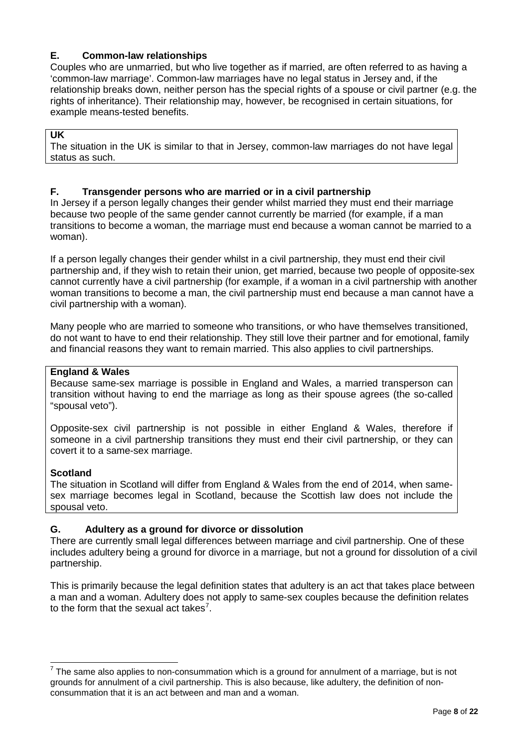#### **E. Common-law relationships**

Couples who are unmarried, but who live together as if married, are often referred to as having a 'common-law marriage'. Common-law marriages have no legal status in Jersey and, if the relationship breaks down, neither person has the special rights of a spouse or civil partner (e.g. the rights of inheritance). Their relationship may, however, be recognised in certain situations, for example means-tested benefits.

#### **UK**

The situation in the UK is similar to that in Jersey, common-law marriages do not have legal status as such.

#### **F. Transgender persons who are married or in a civil partnership**

In Jersey if a person legally changes their gender whilst married they must end their marriage because two people of the same gender cannot currently be married (for example, if a man transitions to become a woman, the marriage must end because a woman cannot be married to a woman).

If a person legally changes their gender whilst in a civil partnership, they must end their civil partnership and, if they wish to retain their union, get married, because two people of opposite-sex cannot currently have a civil partnership (for example, if a woman in a civil partnership with another woman transitions to become a man, the civil partnership must end because a man cannot have a civil partnership with a woman).

Many people who are married to someone who transitions, or who have themselves transitioned, do not want to have to end their relationship. They still love their partner and for emotional, family and financial reasons they want to remain married. This also applies to civil partnerships.

#### **England & Wales**

Because same-sex marriage is possible in England and Wales, a married transperson can transition without having to end the marriage as long as their spouse agrees (the so-called "spousal veto").

Opposite-sex civil partnership is not possible in either England & Wales, therefore if someone in a civil partnership transitions they must end their civil partnership, or they can covert it to a same-sex marriage.

#### **Scotland**

The situation in Scotland will differ from England & Wales from the end of 2014, when samesex marriage becomes legal in Scotland, because the Scottish law does not include the spousal veto.

#### **G. Adultery as a ground for divorce or dissolution**

There are currently small legal differences between marriage and civil partnership. One of these includes adultery being a ground for divorce in a marriage, but not a ground for dissolution of a civil partnership.

This is primarily because the legal definition states that adultery is an act that takes place between a man and a woman. Adultery does not apply to same-sex couples because the definition relates to the form that the sexual act takes<sup>[7](#page-5-2)</sup>.

<span id="page-7-0"></span> $7$  The same also applies to non-consummation which is a ground for annulment of a marriage, but is not grounds for annulment of a civil partnership. This is also because, like adultery, the definition of nonconsummation that it is an act between and man and a woman.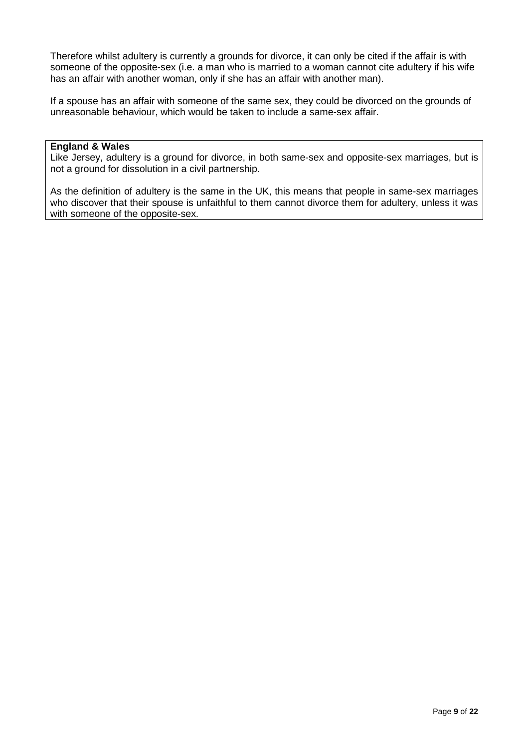Therefore whilst adultery is currently a grounds for divorce, it can only be cited if the affair is with someone of the opposite-sex (i.e. a man who is married to a woman cannot cite adultery if his wife has an affair with another woman, only if she has an affair with another man).

If a spouse has an affair with someone of the same sex, they could be divorced on the grounds of unreasonable behaviour, which would be taken to include a same-sex affair.

#### **England & Wales**

Like Jersey, adultery is a ground for divorce, in both same-sex and opposite-sex marriages, but is not a ground for dissolution in a civil partnership.

As the definition of adultery is the same in the UK, this means that people in same-sex marriages who discover that their spouse is unfaithful to them cannot divorce them for adultery, unless it was with someone of the opposite-sex.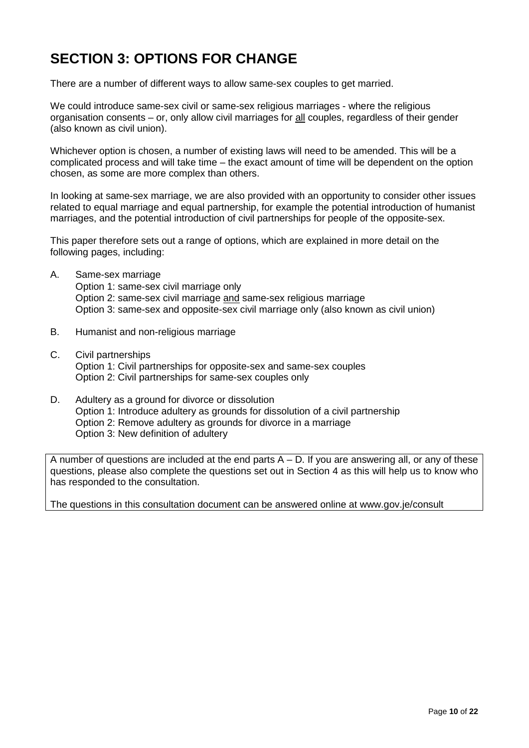# **SECTION 3: OPTIONS FOR CHANGE**

There are a number of different ways to allow same-sex couples to get married.

We could introduce same-sex civil or same-sex religious marriages - where the religious organisation consents – or, only allow civil marriages for all couples, regardless of their gender (also known as civil union).

Whichever option is chosen, a number of existing laws will need to be amended. This will be a complicated process and will take time – the exact amount of time will be dependent on the option chosen, as some are more complex than others.

In looking at same-sex marriage, we are also provided with an opportunity to consider other issues related to equal marriage and equal partnership, for example the potential introduction of humanist marriages, and the potential introduction of civil partnerships for people of the opposite-sex.

This paper therefore sets out a range of options, which are explained in more detail on the following pages, including:

- A. Same-sex marriage Option 1: same-sex civil marriage only Option 2: same-sex civil marriage and same-sex religious marriage Option 3: same-sex and opposite-sex civil marriage only (also known as civil union)
- B. Humanist and non-religious marriage
- C. Civil partnerships Option 1: Civil partnerships for opposite-sex and same-sex couples Option 2: Civil partnerships for same-sex couples only
- D. Adultery as a ground for divorce or dissolution Option 1: Introduce adultery as grounds for dissolution of a civil partnership Option 2: Remove adultery as grounds for divorce in a marriage Option 3: New definition of adultery

A number of questions are included at the end parts  $A - D$ . If you are answering all, or any of these questions, please also complete the questions set out in Section 4 as this will help us to know who has responded to the consultation.

The questions in this consultation document can be answered online at www.gov.je/consult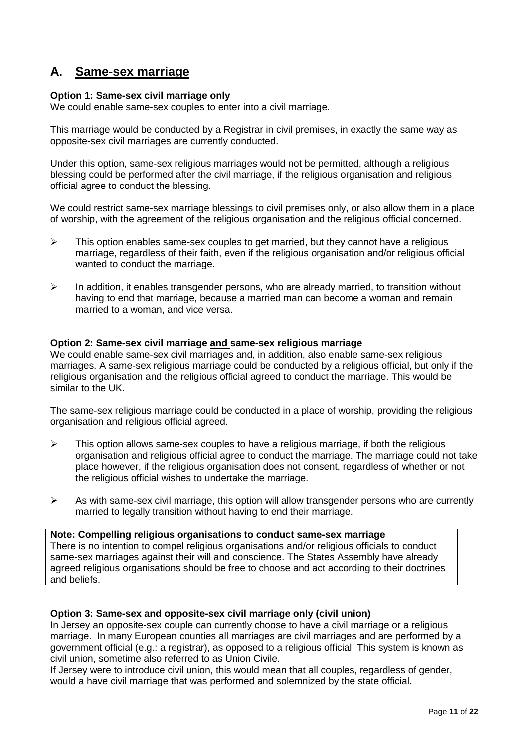## **A. Same-sex marriage**

#### **Option 1: Same-sex civil marriage only**

We could enable same-sex couples to enter into a civil marriage.

This marriage would be conducted by a Registrar in civil premises, in exactly the same way as opposite-sex civil marriages are currently conducted.

Under this option, same-sex religious marriages would not be permitted, although a religious blessing could be performed after the civil marriage, if the religious organisation and religious official agree to conduct the blessing.

We could restrict same-sex marriage blessings to civil premises only, or also allow them in a place of worship, with the agreement of the religious organisation and the religious official concerned.

- $\triangleright$  This option enables same-sex couples to get married, but they cannot have a religious marriage, regardless of their faith, even if the religious organisation and/or religious official wanted to conduct the marriage.
- $\triangleright$  In addition, it enables transgender persons, who are already married, to transition without having to end that marriage, because a married man can become a woman and remain married to a woman, and vice versa.

#### **Option 2: Same-sex civil marriage and same-sex religious marriage**

We could enable same-sex civil marriages and, in addition, also enable same-sex religious marriages. A same-sex religious marriage could be conducted by a religious official, but only if the religious organisation and the religious official agreed to conduct the marriage. This would be similar to the UK.

The same-sex religious marriage could be conducted in a place of worship, providing the religious organisation and religious official agreed.

- $\triangleright$  This option allows same-sex couples to have a religious marriage, if both the religious organisation and religious official agree to conduct the marriage. The marriage could not take place however, if the religious organisation does not consent, regardless of whether or not the religious official wishes to undertake the marriage.
- $\triangleright$  As with same-sex civil marriage, this option will allow transgender persons who are currently married to legally transition without having to end their marriage.

#### **Note: Compelling religious organisations to conduct same-sex marriage**

There is no intention to compel religious organisations and/or religious officials to conduct same-sex marriages against their will and conscience. The States Assembly have already agreed religious organisations should be free to choose and act according to their doctrines and beliefs.

#### **Option 3: Same-sex and opposite-sex civil marriage only (civil union)**

In Jersey an opposite-sex couple can currently choose to have a civil marriage or a religious marriage. In many European counties all marriages are civil marriages and are performed by a government official (e.g.: a registrar), as opposed to a religious official. This system is known as civil union, sometime also referred to as Union Civile.

If Jersey were to introduce civil union, this would mean that all couples, regardless of gender, would a have civil marriage that was performed and solemnized by the state official.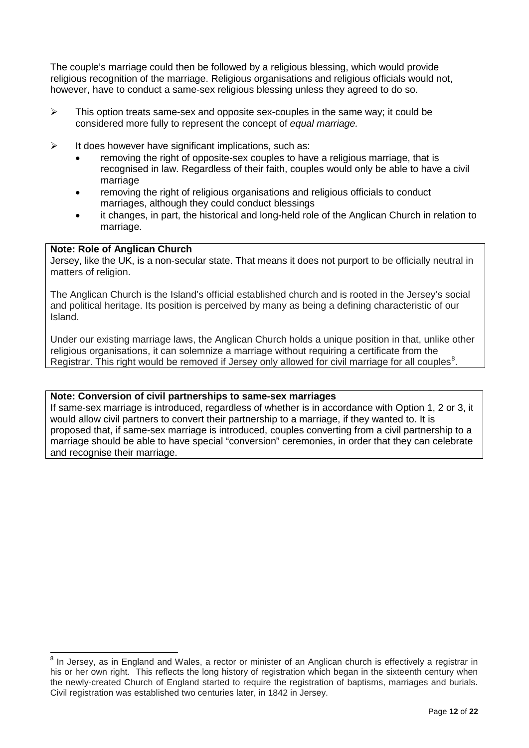The couple's marriage could then be followed by a religious blessing, which would provide religious recognition of the marriage. Religious organisations and religious officials would not, however, have to conduct a same-sex religious blessing unless they agreed to do so.

- $\triangleright$  This option treats same-sex and opposite sex-couples in the same way; it could be considered more fully to represent the concept of *equal marriage.*
- $\triangleright$  It does however have significant implications, such as:
	- removing the right of opposite-sex couples to have a religious marriage, that is recognised in law. Regardless of their faith, couples would only be able to have a civil marriage
	- removing the right of religious organisations and religious officials to conduct marriages, although they could conduct blessings
	- it changes, in part, the historical and long-held role of the Anglican Church in relation to marriage.

#### **Note: Role of Anglican Church**

Jersey, like the UK, is a non-secular state. That means it does not purport to be officially neutral in matters of religion.

The Anglican Church is the Island's official established church and is rooted in the Jersey's social and political heritage. Its position is perceived by many as being a defining characteristic of our Island.

Under our existing marriage laws, the Anglican Church holds a unique position in that, unlike other religious organisations, it can solemnize a marriage without requiring a certificate from the Registrar. This right would be removed if Jersey only allowed for civil marriage for all couples<sup>[8](#page-7-0)</sup>.

#### **Note: Conversion of civil partnerships to same-sex marriages**

If same-sex marriage is introduced, regardless of whether is in accordance with Option 1, 2 or 3, it would allow civil partners to convert their partnership to a marriage, if they wanted to. It is proposed that, if same-sex marriage is introduced, couples converting from a civil partnership to a marriage should be able to have special "conversion" ceremonies, in order that they can celebrate and recognise their marriage.

<span id="page-11-0"></span><sup>&</sup>lt;sup>8</sup> In Jersey, as in England and Wales, a rector or minister of an Anglican church is effectively a registrar in his or her own right. This reflects the long history of registration which began in the sixteenth century when the newly-created Church of England started to require the registration of baptisms, marriages and burials. Civil registration was established two centuries later, in 1842 in Jersey.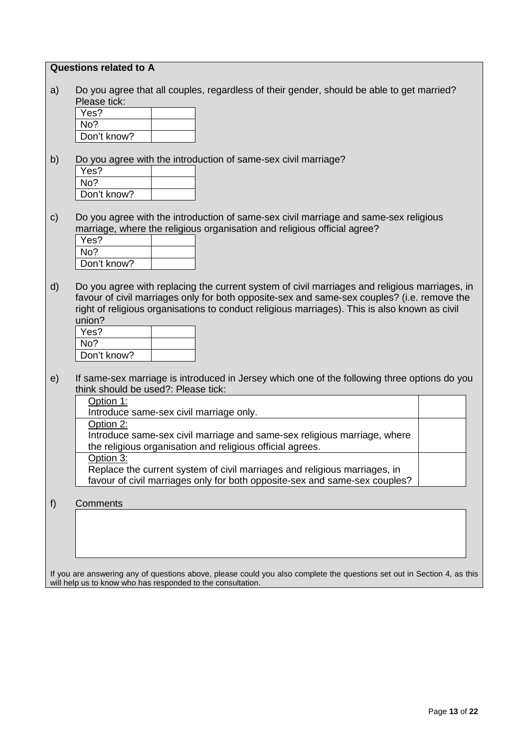#### **Questions related to A**

a) Do you agree that all couples, regardless of their gender, should be able to get married? Please tick:

| Yes?        |  |
|-------------|--|
| No?         |  |
| Don't know? |  |

b) Do you agree with the introduction of same-sex civil marriage?

| Yes?        |  |
|-------------|--|
| No?         |  |
| Don't know? |  |

c) Do you agree with the introduction of same-sex civil marriage and same-sex religious marriage, where the religious organisation and religious official agree?

| Yes?        |  |
|-------------|--|
| No?         |  |
| Don't know? |  |

d) Do you agree with replacing the current system of civil marriages and religious marriages, in favour of civil marriages only for both opposite-sex and same-sex couples? (i.e. remove the right of religious organisations to conduct religious marriages). This is also known as civil union?

| Yes?        |  |
|-------------|--|
| No?         |  |
| Don't know? |  |

e) If same-sex marriage is introduced in Jersey which one of the following three options do you think should be used?: Please tick:

| Option 1:                                                                  |  |
|----------------------------------------------------------------------------|--|
| Introduce same-sex civil marriage only.                                    |  |
| Option 2:                                                                  |  |
| Introduce same-sex civil marriage and same-sex religious marriage, where   |  |
| the religious organisation and religious official agrees.                  |  |
| Option 3:                                                                  |  |
| Replace the current system of civil marriages and religious marriages, in  |  |
| favour of civil marriages only for both opposite-sex and same-sex couples? |  |

#### f) Comments

If you are answering any of questions above, please could you also complete the questions set out in Section 4, as this will help us to know who has responded to the consultation.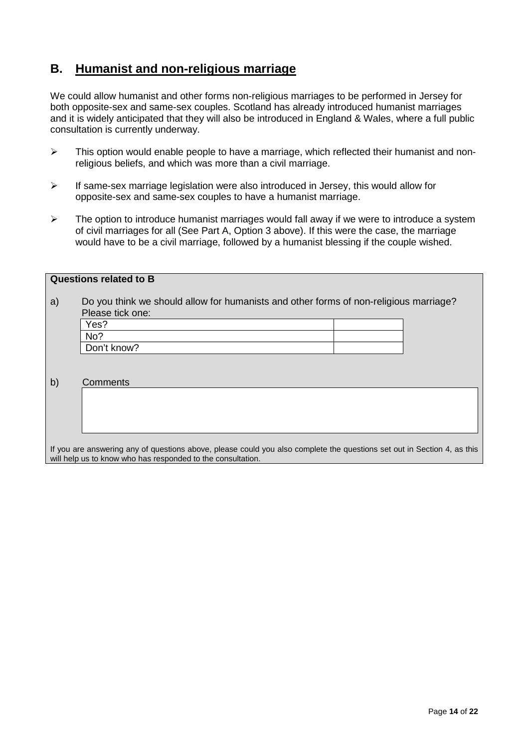## **B. Humanist and non-religious marriage**

We could allow humanist and other forms non-religious marriages to be performed in Jersey for both opposite-sex and same-sex couples. Scotland has already introduced humanist marriages and it is widely anticipated that they will also be introduced in England & Wales, where a full public consultation is currently underway.

- $\triangleright$  This option would enable people to have a marriage, which reflected their humanist and nonreligious beliefs, and which was more than a civil marriage.
- $\triangleright$  If same-sex marriage legislation were also introduced in Jersey, this would allow for opposite-sex and same-sex couples to have a humanist marriage.
- $\triangleright$  The option to introduce humanist marriages would fall away if we were to introduce a system of civil marriages for all (See Part A, Option 3 above). If this were the case, the marriage would have to be a civil marriage, followed by a humanist blessing if the couple wished.

|    | <b>Questions related to B</b>                                                                                                                                                                                                                                                                                                                                                                                                                                |  |
|----|--------------------------------------------------------------------------------------------------------------------------------------------------------------------------------------------------------------------------------------------------------------------------------------------------------------------------------------------------------------------------------------------------------------------------------------------------------------|--|
|    |                                                                                                                                                                                                                                                                                                                                                                                                                                                              |  |
| a) | Do you think we should allow for humanists and other forms of non-religious marriage?                                                                                                                                                                                                                                                                                                                                                                        |  |
|    |                                                                                                                                                                                                                                                                                                                                                                                                                                                              |  |
|    | Please tick one:                                                                                                                                                                                                                                                                                                                                                                                                                                             |  |
|    | Yes?                                                                                                                                                                                                                                                                                                                                                                                                                                                         |  |
|    | No?                                                                                                                                                                                                                                                                                                                                                                                                                                                          |  |
|    | Don't know?                                                                                                                                                                                                                                                                                                                                                                                                                                                  |  |
|    |                                                                                                                                                                                                                                                                                                                                                                                                                                                              |  |
|    |                                                                                                                                                                                                                                                                                                                                                                                                                                                              |  |
| b) | Comments                                                                                                                                                                                                                                                                                                                                                                                                                                                     |  |
|    |                                                                                                                                                                                                                                                                                                                                                                                                                                                              |  |
|    |                                                                                                                                                                                                                                                                                                                                                                                                                                                              |  |
|    |                                                                                                                                                                                                                                                                                                                                                                                                                                                              |  |
|    |                                                                                                                                                                                                                                                                                                                                                                                                                                                              |  |
|    |                                                                                                                                                                                                                                                                                                                                                                                                                                                              |  |
|    |                                                                                                                                                                                                                                                                                                                                                                                                                                                              |  |
|    | $\mathcal{L} = \mathcal{L} = \mathcal{L} = \mathcal{L} = \mathcal{L} = \mathcal{L} = \mathcal{L} = \mathcal{L} = \mathcal{L} = \mathcal{L} = \mathcal{L} = \mathcal{L} = \mathcal{L} = \mathcal{L} = \mathcal{L} = \mathcal{L} = \mathcal{L} = \mathcal{L} = \mathcal{L} = \mathcal{L} = \mathcal{L} = \mathcal{L} = \mathcal{L} = \mathcal{L} = \mathcal{L} = \mathcal{L} = \mathcal{L} = \mathcal{L} = \mathcal{L} = \mathcal{L} = \mathcal{L} = \mathcal$ |  |

If you are answering any of questions above, please could you also complete the questions set out in Section 4, as this will help us to know who has responded to the consultation.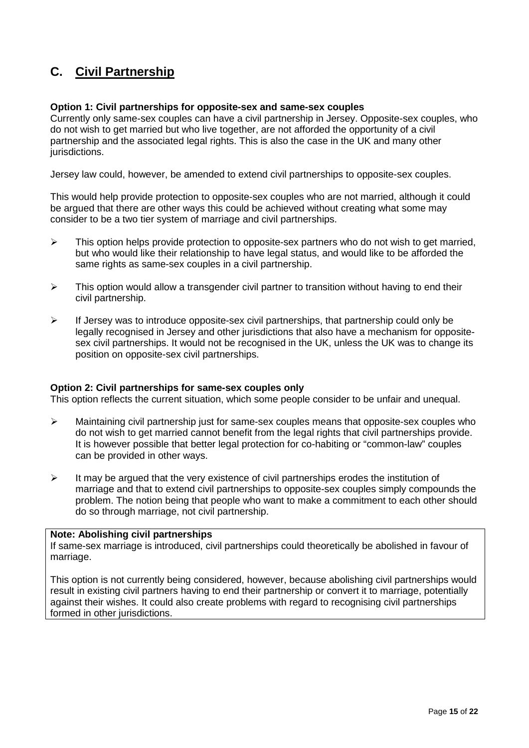## **C. Civil Partnership**

#### **Option 1: Civil partnerships for opposite-sex and same-sex couples**

Currently only same-sex couples can have a civil partnership in Jersey. Opposite-sex couples, who do not wish to get married but who live together, are not afforded the opportunity of a civil partnership and the associated legal rights. This is also the case in the UK and many other jurisdictions.

Jersey law could, however, be amended to extend civil partnerships to opposite-sex couples.

This would help provide protection to opposite-sex couples who are not married, although it could be argued that there are other ways this could be achieved without creating what some may consider to be a two tier system of marriage and civil partnerships.

- $\triangleright$  This option helps provide protection to opposite-sex partners who do not wish to get married, but who would like their relationship to have legal status, and would like to be afforded the same rights as same-sex couples in a civil partnership.
- $\triangleright$  This option would allow a transgender civil partner to transition without having to end their civil partnership.
- $\triangleright$  If Jersey was to introduce opposite-sex civil partnerships, that partnership could only be legally recognised in Jersey and other jurisdictions that also have a mechanism for oppositesex civil partnerships. It would not be recognised in the UK, unless the UK was to change its position on opposite-sex civil partnerships.

#### **Option 2: Civil partnerships for same-sex couples only**

This option reflects the current situation, which some people consider to be unfair and unequal.

- $\triangleright$  Maintaining civil partnership just for same-sex couples means that opposite-sex couples who do not wish to get married cannot benefit from the legal rights that civil partnerships provide. It is however possible that better legal protection for co-habiting or "common-law" couples can be provided in other ways.
- $\triangleright$  It may be argued that the very existence of civil partnerships erodes the institution of marriage and that to extend civil partnerships to opposite-sex couples simply compounds the problem. The notion being that people who want to make a commitment to each other should do so through marriage, not civil partnership.

#### **Note: Abolishing civil partnerships**

If same-sex marriage is introduced, civil partnerships could theoretically be abolished in favour of marriage.

This option is not currently being considered, however, because abolishing civil partnerships would result in existing civil partners having to end their partnership or convert it to marriage, potentially against their wishes. It could also create problems with regard to recognising civil partnerships formed in other jurisdictions.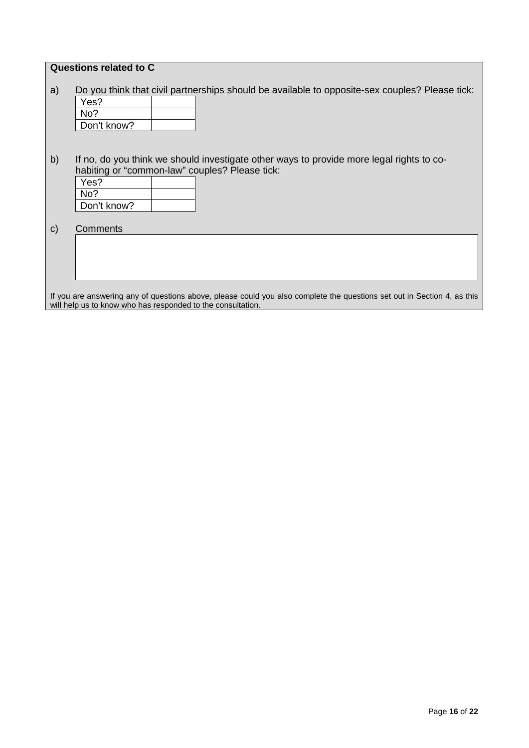|              | Questions related to C                                                                                                                                                                 |
|--------------|----------------------------------------------------------------------------------------------------------------------------------------------------------------------------------------|
| a)           | Do you think that civil partnerships should be available to opposite-sex couples? Please tick:<br>Yes?<br>No?<br>Don't know?                                                           |
| b)           | If no, do you think we should investigate other ways to provide more legal rights to co-<br>habiting or "common-law" couples? Please tick:<br>Yes?<br>No?<br>Don't know?               |
| $\mathsf{C}$ | Comments                                                                                                                                                                               |
|              | If you are answering any of questions above, please could you also complete the questions set out in Section 4, as this<br>will help us to know who has responded to the consultation. |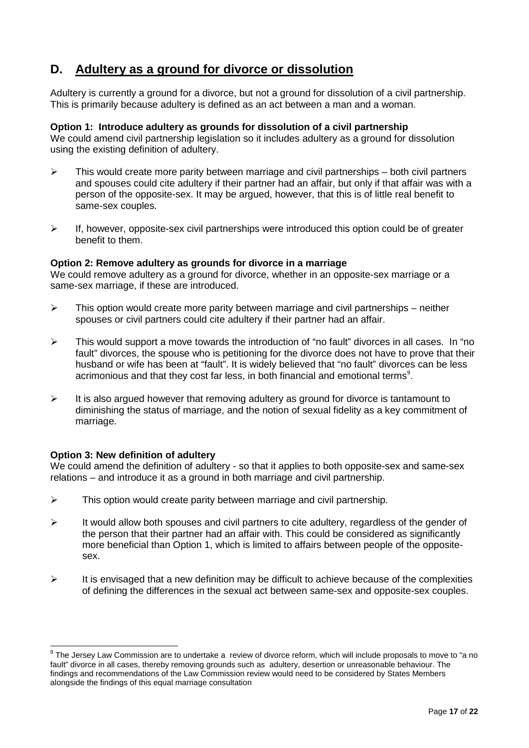## **D. Adultery as a ground for divorce or dissolution**

Adultery is currently a ground for a divorce, but not a ground for dissolution of a civil partnership. This is primarily because adultery is defined as an act between a man and a woman.

#### **Option 1: Introduce adultery as grounds for dissolution of a civil partnership**

We could amend civil partnership legislation so it includes adultery as a ground for dissolution using the existing definition of adultery.

- $\triangleright$  This would create more parity between marriage and civil partnerships both civil partners and spouses could cite adultery if their partner had an affair, but only if that affair was with a person of the opposite-sex. It may be argued, however, that this is of little real benefit to same-sex couples.
- $\triangleright$  If, however, opposite-sex civil partnerships were introduced this option could be of greater benefit to them.

#### **Option 2: Remove adultery as grounds for divorce in a marriage**

We could remove adultery as a ground for divorce, whether in an opposite-sex marriage or a same-sex marriage, if these are introduced.

- $\triangleright$  This option would create more parity between marriage and civil partnerships neither spouses or civil partners could cite adultery if their partner had an affair.
- $\triangleright$  This would support a move towards the introduction of "no fault" divorces in all cases. In "no fault" divorces, the spouse who is petitioning for the divorce does not have to prove that their husband or wife has been at "fault". It is widely believed that "no fault" divorces can be less acrimonious and that they cost far less, in both financial and emotional terms<sup>[9](#page-11-0)</sup>.
- $\triangleright$  It is also argued however that removing adultery as ground for divorce is tantamount to diminishing the status of marriage, and the notion of sexual fidelity as a key commitment of marriage.

#### **Option 3: New definition of adultery**

We could amend the definition of adultery - so that it applies to both opposite-sex and same-sex relations – and introduce it as a ground in both marriage and civil partnership.

- $\triangleright$  This option would create parity between marriage and civil partnership.
- $\triangleright$  It would allow both spouses and civil partners to cite adultery, regardless of the gender of the person that their partner had an affair with. This could be considered as significantly more beneficial than Option 1, which is limited to affairs between people of the oppositesex.
- $\triangleright$  It is envisaged that a new definition may be difficult to achieve because of the complexities of defining the differences in the sexual act between same-sex and opposite-sex couples.

<sup>&</sup>lt;sup>9</sup> The Jersey Law Commission are to undertake a review of divorce reform, which will include proposals to move to "a no fault" divorce in all cases, thereby removing grounds such as adultery, desertion or unreasonable behaviour. The findings and recommendations of the Law Commission review would need to be considered by States Members alongside the findings of this equal marriage consultation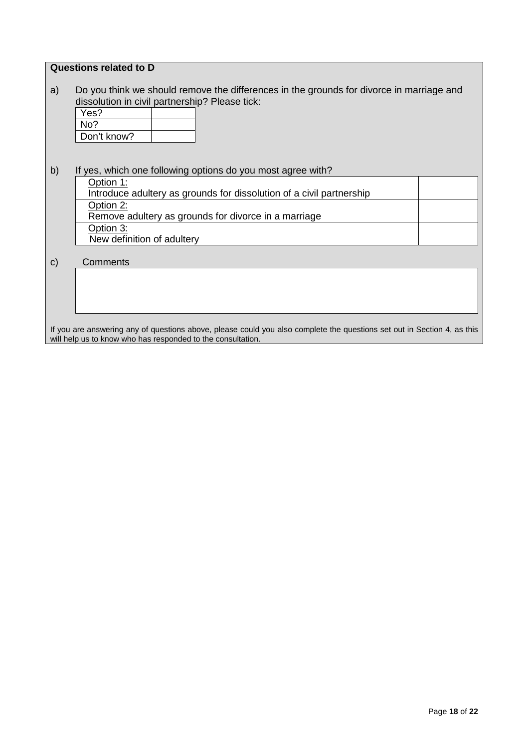#### **Questions related to D**

a) Do you think we should remove the differences in the grounds for divorce in marriage and dissolution in civil partnership? Please tick:

| Yes?        |  |
|-------------|--|
| No?         |  |
| Don't know? |  |

b) If yes, which one following options do you most agree with? Option<sub>1:</sub> Introduce adultery as grounds for dissolution of a civil partnership Option 2: Remove adultery as grounds for divorce in a marriage Option 3: New definition of adultery

c) Comments

If you are answering any of questions above, please could you also complete the questions set out in Section 4, as this will help us to know who has responded to the consultation.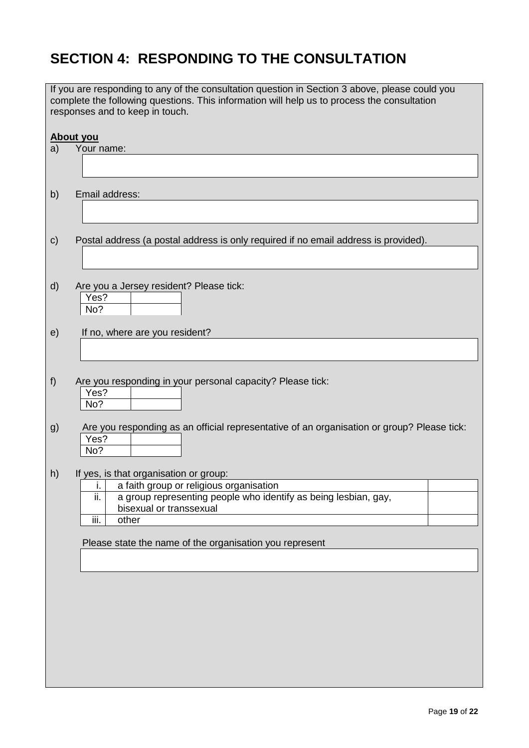# **SECTION 4: RESPONDING TO THE CONSULTATION**

|               | If you are responding to any of the consultation question in Section 3 above, please could you<br>complete the following questions. This information will help us to process the consultation<br>responses and to keep in touch. |
|---------------|----------------------------------------------------------------------------------------------------------------------------------------------------------------------------------------------------------------------------------|
| a)            | About you<br>Your name:                                                                                                                                                                                                          |
|               |                                                                                                                                                                                                                                  |
| b)            | Email address:                                                                                                                                                                                                                   |
| $\mathsf{c})$ | Postal address (a postal address is only required if no email address is provided).                                                                                                                                              |
| $\mathsf{d}$  | Are you a Jersey resident? Please tick:<br>Yes?<br>No?                                                                                                                                                                           |
| e)            | If no, where are you resident?                                                                                                                                                                                                   |
| f)            | Are you responding in your personal capacity? Please tick:<br>Yes?<br>No?                                                                                                                                                        |
| g)            | Are you responding as an official representative of an organisation or group? Please tick:<br>Yes?<br>No?                                                                                                                        |
| h)            | If yes, is that organisation or group:                                                                                                                                                                                           |
|               | a faith group or religious organisation<br>i.                                                                                                                                                                                    |
|               | a group representing people who identify as being lesbian, gay,<br>ii.<br>bisexual or transsexual                                                                                                                                |
|               | iii.<br>other                                                                                                                                                                                                                    |
|               | Please state the name of the organisation you represent                                                                                                                                                                          |
|               |                                                                                                                                                                                                                                  |
|               |                                                                                                                                                                                                                                  |
|               |                                                                                                                                                                                                                                  |
|               |                                                                                                                                                                                                                                  |
|               |                                                                                                                                                                                                                                  |
|               |                                                                                                                                                                                                                                  |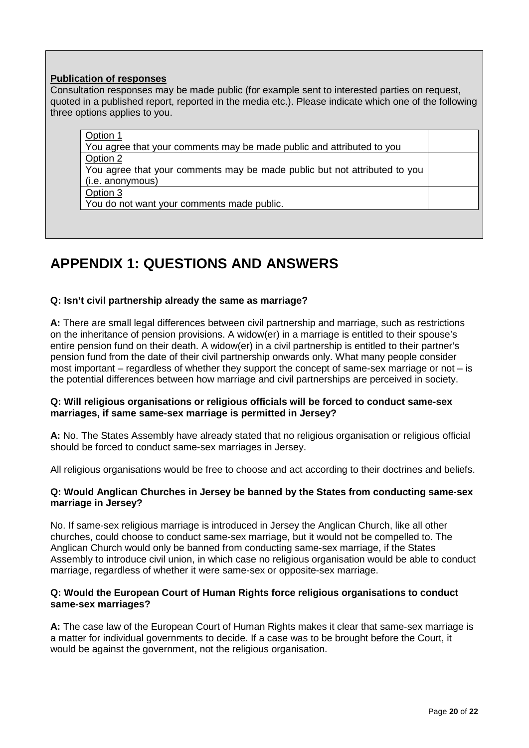#### **Publication of responses**

Consultation responses may be made public (for example sent to interested parties on request, quoted in a published report, reported in the media etc.). Please indicate which one of the following three options applies to you.

| You agree that your comments may be made public and attributed to you     |  |
|---------------------------------------------------------------------------|--|
| Option 2                                                                  |  |
| You agree that your comments may be made public but not attributed to you |  |
| (i.e. anonymous)                                                          |  |
| Option 3                                                                  |  |
| You do not want your comments made public.                                |  |

## **APPENDIX 1: QUESTIONS AND ANSWERS**

#### **Q: Isn't civil partnership already the same as marriage?**

**A:** There are small legal differences between civil partnership and marriage, such as restrictions on the inheritance of pension provisions. A widow(er) in a marriage is entitled to their spouse's entire pension fund on their death. A widow(er) in a civil partnership is entitled to their partner's pension fund from the date of their civil partnership onwards only. What many people consider most important – regardless of whether they support the concept of same-sex marriage or not – is the potential differences between how marriage and civil partnerships are perceived in society.

#### **Q: Will religious organisations or religious officials will be forced to conduct same-sex marriages, if same same-sex marriage is permitted in Jersey?**

**A:** No. The States Assembly have already stated that no religious organisation or religious official should be forced to conduct same-sex marriages in Jersey.

All religious organisations would be free to choose and act according to their doctrines and beliefs.

#### **Q: Would Anglican Churches in Jersey be banned by the States from conducting same-sex marriage in Jersey?**

No. If same-sex religious marriage is introduced in Jersey the Anglican Church, like all other churches, could choose to conduct same-sex marriage, but it would not be compelled to. The Anglican Church would only be banned from conducting same-sex marriage, if the States Assembly to introduce civil union, in which case no religious organisation would be able to conduct marriage, regardless of whether it were same-sex or opposite-sex marriage.

#### **Q: Would the European Court of Human Rights force religious organisations to conduct same-sex marriages?**

**A:** The case law of the European Court of Human Rights makes it clear that same-sex marriage is a matter for individual governments to decide. If a case was to be brought before the Court, it would be against the government, not the religious organisation.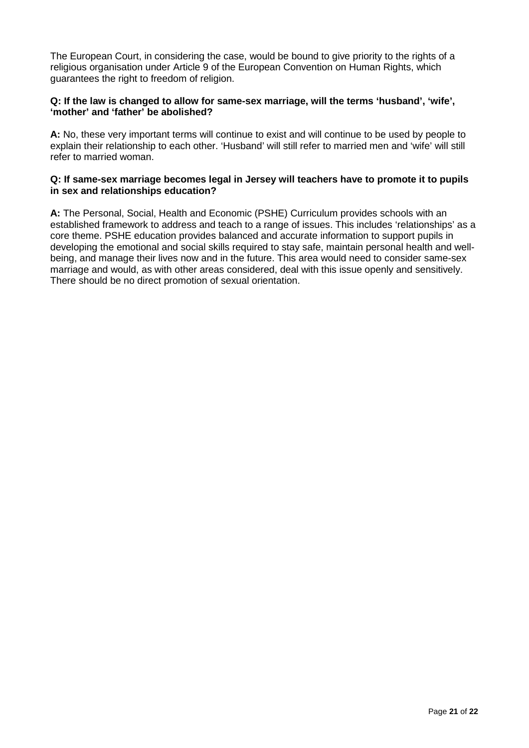The European Court, in considering the case, would be bound to give priority to the rights of a religious organisation under Article 9 of the European Convention on Human Rights, which guarantees the right to freedom of religion.

#### **Q: If the law is changed to allow for same-sex marriage, will the terms 'husband', 'wife', 'mother' and 'father' be abolished?**

**A:** No, these very important terms will continue to exist and will continue to be used by people to explain their relationship to each other. 'Husband' will still refer to married men and 'wife' will still refer to married woman.

#### **Q: If same-sex marriage becomes legal in Jersey will teachers have to promote it to pupils in sex and relationships education?**

**A:** The Personal, Social, Health and Economic (PSHE) Curriculum provides schools with an established framework to address and teach to a range of issues. This includes 'relationships' as a core theme. PSHE education provides balanced and accurate information to support pupils in developing the emotional and social skills required to stay safe, maintain personal health and wellbeing, and manage their lives now and in the future. This area would need to consider same-sex marriage and would, as with other areas considered, deal with this issue openly and sensitively. There should be no direct promotion of sexual orientation.